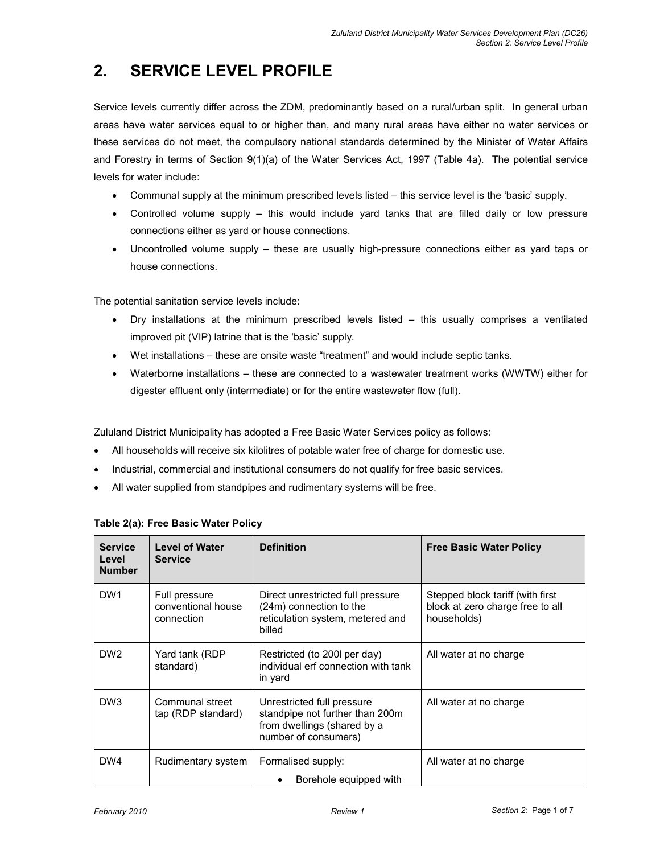# 2. SERVICE LEVEL PROFILE

Service levels currently differ across the ZDM, predominantly based on a rural/urban split. In general urban areas have water services equal to or higher than, and many rural areas have either no water services or these services do not meet, the compulsory national standards determined by the Minister of Water Affairs and Forestry in terms of Section 9(1)(a) of the Water Services Act, 1997 (Table 4a). The potential service levels for water include:

- Communal supply at the minimum prescribed levels listed this service level is the 'basic' supply.
- Controlled volume supply this would include yard tanks that are filled daily or low pressure connections either as yard or house connections.
- Uncontrolled volume supply these are usually high-pressure connections either as yard taps or house connections.

The potential sanitation service levels include:

- Dry installations at the minimum prescribed levels listed this usually comprises a ventilated improved pit (VIP) latrine that is the 'basic' supply.
- Wet installations these are onsite waste "treatment" and would include septic tanks.
- Waterborne installations these are connected to a wastewater treatment works (WWTW) either for digester effluent only (intermediate) or for the entire wastewater flow (full).

Zululand District Municipality has adopted a Free Basic Water Services policy as follows:

- All households will receive six kilolitres of potable water free of charge for domestic use.
- Industrial, commercial and institutional consumers do not qualify for free basic services.
- All water supplied from standpipes and rudimentary systems will be free.

| <b>Service</b><br>Level<br><b>Number</b> | <b>Level of Water</b><br><b>Service</b>           | <b>Definition</b>                                                                                                    | <b>Free Basic Water Policy</b>                                                      |
|------------------------------------------|---------------------------------------------------|----------------------------------------------------------------------------------------------------------------------|-------------------------------------------------------------------------------------|
| DW <sub>1</sub>                          | Full pressure<br>conventional house<br>connection | Direct unrestricted full pressure<br>(24m) connection to the<br>reticulation system, metered and<br>billed           | Stepped block tariff (with first<br>block at zero charge free to all<br>households) |
| DW <sub>2</sub>                          | Yard tank (RDP<br>standard)                       | Restricted (to 200 per day)<br>individual erf connection with tank<br>in yard                                        | All water at no charge                                                              |
| DW <sub>3</sub>                          | Communal street<br>tap (RDP standard)             | Unrestricted full pressure<br>standpipe not further than 200m<br>from dwellings (shared by a<br>number of consumers) | All water at no charge                                                              |
| DW4                                      | Rudimentary system                                | Formalised supply:<br>Borehole equipped with<br>٠                                                                    | All water at no charge                                                              |

#### Table 2(a): Free Basic Water Policy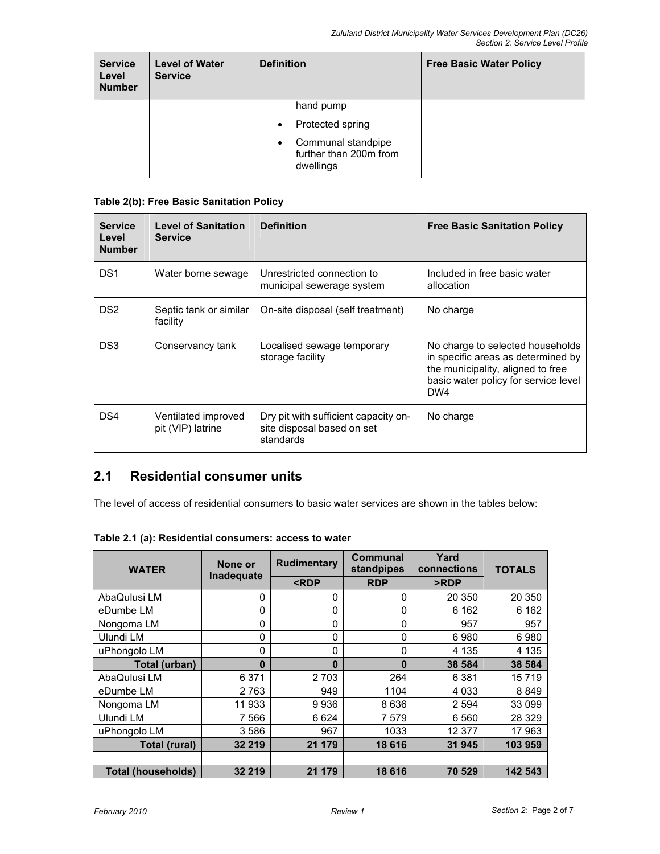| <b>Service</b><br>Level<br><b>Number</b> | <b>Level of Water</b><br><b>Service</b> | <b>Definition</b>                                              | <b>Free Basic Water Policy</b> |
|------------------------------------------|-----------------------------------------|----------------------------------------------------------------|--------------------------------|
|                                          |                                         | hand pump                                                      |                                |
|                                          |                                         | Protected spring<br>$\bullet$                                  |                                |
|                                          |                                         | Communal standpipe<br>٠<br>further than 200m from<br>dwellings |                                |

### Table 2(b): Free Basic Sanitation Policy

| <b>Service</b><br>Level<br><b>Number</b> | <b>Level of Sanitation</b><br><b>Service</b> | <b>Definition</b>                                                               | <b>Free Basic Sanitation Policy</b>                                                                                                                        |
|------------------------------------------|----------------------------------------------|---------------------------------------------------------------------------------|------------------------------------------------------------------------------------------------------------------------------------------------------------|
| DS <sub>1</sub>                          | Water borne sewage                           | Unrestricted connection to<br>municipal sewerage system                         | Included in free basic water<br>allocation                                                                                                                 |
| DS <sub>2</sub>                          | Septic tank or similar<br>facility           | On-site disposal (self treatment)                                               | No charge                                                                                                                                                  |
| DS3                                      | Conservancy tank                             | Localised sewage temporary<br>storage facility                                  | No charge to selected households<br>in specific areas as determined by<br>the municipality, aligned to free<br>basic water policy for service level<br>DW4 |
| DS4                                      | Ventilated improved<br>pit (VIP) latrine     | Dry pit with sufficient capacity on-<br>site disposal based on set<br>standards | No charge                                                                                                                                                  |

## 2.1 Residential consumer units

The level of access of residential consumers to basic water services are shown in the tables below:

| Table 2.1 (a): Residential consumers: access to water |
|-------------------------------------------------------|
|-------------------------------------------------------|

| <b>WATER</b>              | None or<br>Inadequate | <b>Rudimentary</b>                                              | Communal<br>standpipes | Yard<br>connections | <b>TOTALS</b> |
|---------------------------|-----------------------|-----------------------------------------------------------------|------------------------|---------------------|---------------|
|                           |                       | <rdp< th=""><th><b>RDP</b></th><th>&gt;RDP</th><th></th></rdp<> | <b>RDP</b>             | >RDP                |               |
| AbaQulusi LM              | 0                     | 0                                                               | 0                      | 20 350              | 20 350        |
| eDumbe LM                 | 0                     | 0                                                               | 0                      | 6 1 6 2             | 6 1 6 2       |
| Nongoma LM                | 0                     | 0                                                               | 0                      | 957                 | 957           |
| Ulundi LM                 | 0                     | 0                                                               | 0                      | 6980                | 6980          |
| uPhongolo LM              | 0                     | 0                                                               | 0                      | 4 1 3 5             | 4 1 3 5       |
| Total (urban)             | $\bf{0}$              | $\bf{0}$                                                        | $\bf{0}$               | 38 584              | 38 584        |
| AbaQulusi LM              | 6 3 7 1               | 2703                                                            | 264                    | 6 3 8 1             | 15719         |
| eDumbe LM                 | 2 7 6 3               | 949                                                             | 1104                   | 4 0 3 3             | 8849          |
| Nongoma LM                | 11 933                | 9936                                                            | 8 6 3 6                | 2 5 9 4             | 33 099        |
| Ulundi LM                 | 7 5 6 6               | 6624                                                            | 7 5 7 9                | 6 5 6 0             | 28 3 29       |
| uPhongolo LM              | 3586                  | 967                                                             | 1033                   | 12 377              | 17963         |
| Total (rural)             | 32 219                | 21 179                                                          | 18 6 16                | 31 945              | 103 959       |
|                           |                       |                                                                 |                        |                     |               |
| <b>Total (households)</b> | 32 219                | 21 179                                                          | 18 616                 | 70 529              | 142 543       |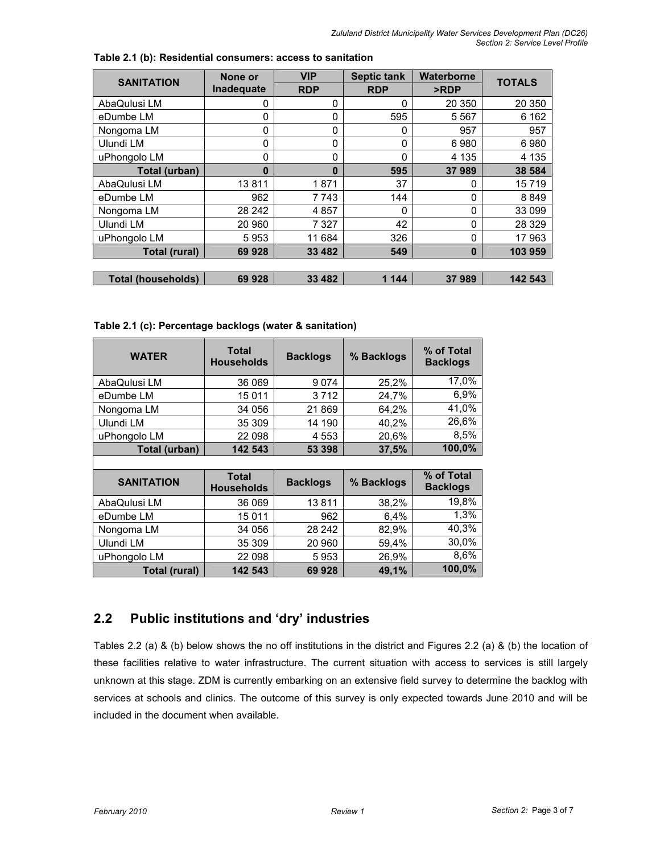| <b>SANITATION</b>         | None or    | <b>VIP</b> | <b>Septic tank</b> | Waterborne | <b>TOTALS</b> |
|---------------------------|------------|------------|--------------------|------------|---------------|
|                           | Inadequate | <b>RDP</b> | <b>RDP</b>         | >RDP       |               |
| AbaQulusi LM              | 0          | 0          | 0                  | 20 350     | 20 350        |
| eDumbe LM                 | 0          | 0          | 595                | 5 5 6 7    | 6 1 6 2       |
| Nongoma LM                | 0          | 0          | $\Omega$           | 957        | 957           |
| Ulundi LM                 | 0          | 0          | 0                  | 6980       | 6980          |
| uPhongolo LM              | 0          | 0          | $\Omega$           | 4 1 3 5    | 4 1 3 5       |
| Total (urban)             | $\bf{0}$   | $\bf{0}$   | 595                | 37989      | 38 584        |
| AbaQulusi LM              | 13811      | 1871       | 37                 | 0          | 15719         |
| eDumbe LM                 | 962        | 7743       | 144                | 0          | 8849          |
| Nongoma LM                | 28 24 2    | 4857       | 0                  | 0          | 33 099        |
| Ulundi LM                 | 20 960     | 7 3 2 7    | 42                 | 0          | 28 3 29       |
| uPhongolo LM              | 5953       | 11 684     | 326                | 0          | 17 963        |
| <b>Total (rural)</b>      | 69 928     | 33 4 8 2   | 549                | $\bf{0}$   | 103 959       |
|                           |            |            |                    |            |               |
| <b>Total (households)</b> | 69 928     | 33 4 8 2   | 1 144              | 37989      | 142 543       |

Table 2.1 (b): Residential consumers: access to sanitation

Table 2.1 (c): Percentage backlogs (water & sanitation)

| <b>WATER</b>  | <b>Total</b><br><b>Households</b> | <b>Backlogs</b> | % Backlogs | % of Total<br><b>Backlogs</b> |
|---------------|-----------------------------------|-----------------|------------|-------------------------------|
| AbaQulusi LM  | 36 069                            | 9074            | 25,2%      | 17,0%                         |
| eDumbe LM     | 15 0 11                           | 3712            | 24,7%      | 6,9%                          |
| Nongoma LM    | 34 056                            | 21869           | 64.2%      | 41,0%                         |
| Ulundi LM     | 35 309                            | 14 190          | 40.2%      | 26,6%                         |
| uPhongolo LM  | 22 098                            | 4 5 5 3         | 20,6%      | 8,5%                          |
| Total (urban) | 142 543                           | 53 398          | 37,5%      | 100,0%                        |
|               |                                   |                 |            |                               |

| <b>SANITATION</b> | <b>Total</b><br><b>Households</b> | <b>Backlogs</b> | % Backlogs | % of Total<br><b>Backlogs</b> |
|-------------------|-----------------------------------|-----------------|------------|-------------------------------|
| AbaQulusi LM      | 36 069                            | 13811           | 38,2%      | 19,8%                         |
| eDumbe LM         | 15 0 11                           | 962             | 6.4%       | 1,3%                          |
| Nongoma LM        | 34 056                            | 28 24 2         | 82,9%      | 40,3%                         |
| Ulundi LM         | 35 309                            | 20 960          | 59,4%      | 30,0%                         |
| uPhongolo LM      | 22 098                            | 5953            | 26,9%      | 8,6%                          |
| Total (rural)     | 142 543                           | 69928           | 49,1%      | 100,0%                        |

# 2.2 Public institutions and 'dry' industries

Tables 2.2 (a) & (b) below shows the no off institutions in the district and Figures 2.2 (a) & (b) the location of these facilities relative to water infrastructure. The current situation with access to services is still largely unknown at this stage. ZDM is currently embarking on an extensive field survey to determine the backlog with services at schools and clinics. The outcome of this survey is only expected towards June 2010 and will be included in the document when available.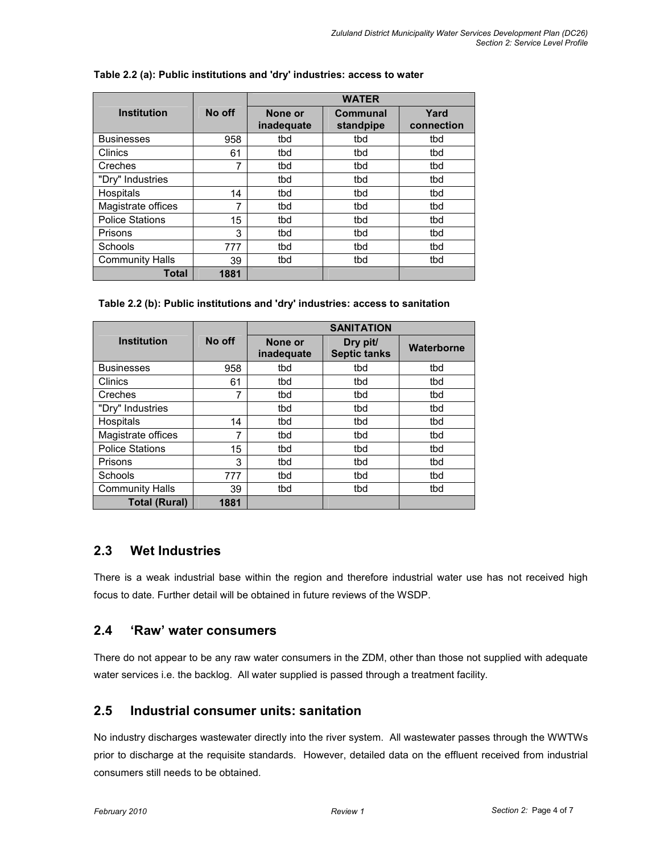|                        |        |                       | <b>WATER</b>          |                    |  |
|------------------------|--------|-----------------------|-----------------------|--------------------|--|
| <b>Institution</b>     | No off | None or<br>inadequate | Communal<br>standpipe | Yard<br>connection |  |
| <b>Businesses</b>      | 958    | tbd                   | tbd                   | tbd                |  |
| Clinics                | 61     | tbd                   | tbd                   | tbd                |  |
| Creches                | 7      | tbd                   | tbd                   | tbd                |  |
| "Dry" Industries       |        | tbd                   | tbd                   | tbd                |  |
| Hospitals              | 14     | tbd                   | tbd                   | tbd                |  |
| Magistrate offices     | 7      | tbd                   | tbd                   | tbd                |  |
| <b>Police Stations</b> | 15     | tbd                   | tbd                   | tbd                |  |
| Prisons                | 3      | tbd                   | tbd                   | tbd                |  |
| Schools                | 777    | tbd                   | tbd                   | tbd                |  |
| <b>Community Halls</b> | 39     | tbd                   | tbd                   | tbd                |  |
| Total                  | 1881   |                       |                       |                    |  |

#### Table 2.2 (a): Public institutions and 'dry' industries: access to water

#### Table 2.2 (b): Public institutions and 'dry' industries: access to sanitation

|                        |        |                       | <b>SANITATION</b>               |            |  |
|------------------------|--------|-----------------------|---------------------------------|------------|--|
| <b>Institution</b>     | No off | None or<br>inadequate | Dry pit/<br><b>Septic tanks</b> | Waterborne |  |
| <b>Businesses</b>      | 958    | tbd                   | tbd                             | tbd        |  |
| Clinics                | 61     | tbd                   | tbd                             | tbd        |  |
| Creches                | 7      | tbd                   | tbd                             | tbd        |  |
| "Dry" Industries       |        | tbd                   | tbd                             | tbd        |  |
| Hospitals              | 14     | tbd                   | tbd                             | tbd        |  |
| Magistrate offices     | 7      | tbd                   | tbd                             | tbd        |  |
| <b>Police Stations</b> | 15     | tbd                   | tbd                             | tbd        |  |
| Prisons                | 3      | tbd                   | tbd                             | tbd        |  |
| Schools                | 777    | tbd                   | tbd                             | tbd        |  |
| <b>Community Halls</b> | 39     | tbd                   | tbd                             | tbd        |  |
| <b>Total (Rural)</b>   | 1881   |                       |                                 |            |  |

### 2.3 Wet Industries

There is a weak industrial base within the region and therefore industrial water use has not received high focus to date. Further detail will be obtained in future reviews of the WSDP.

### 2.4 'Raw' water consumers

There do not appear to be any raw water consumers in the ZDM, other than those not supplied with adequate water services i.e. the backlog. All water supplied is passed through a treatment facility.

## 2.5 Industrial consumer units: sanitation

No industry discharges wastewater directly into the river system. All wastewater passes through the WWTWs prior to discharge at the requisite standards. However, detailed data on the effluent received from industrial consumers still needs to be obtained.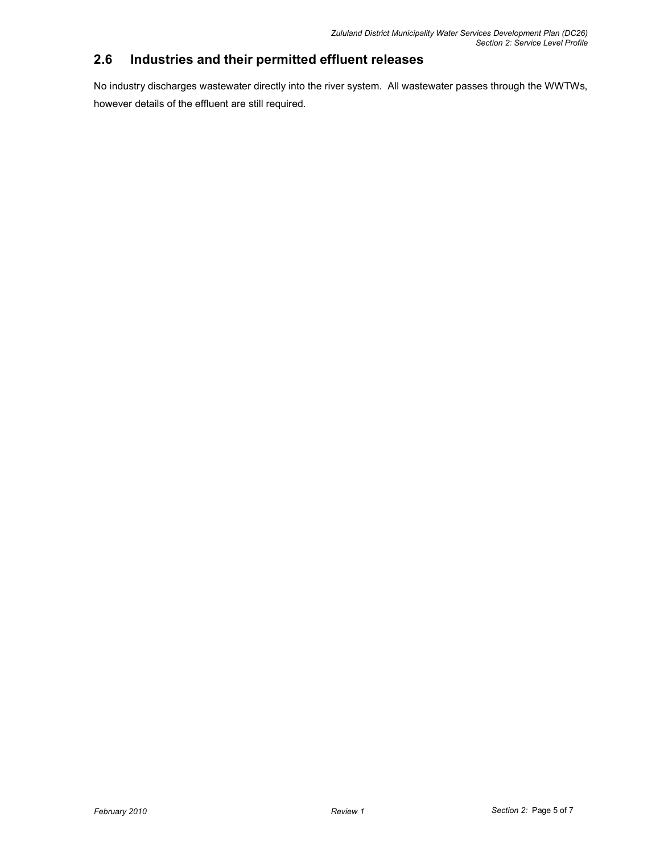# 2.6 Industries and their permitted effluent releases

No industry discharges wastewater directly into the river system. All wastewater passes through the WWTWs, however details of the effluent are still required.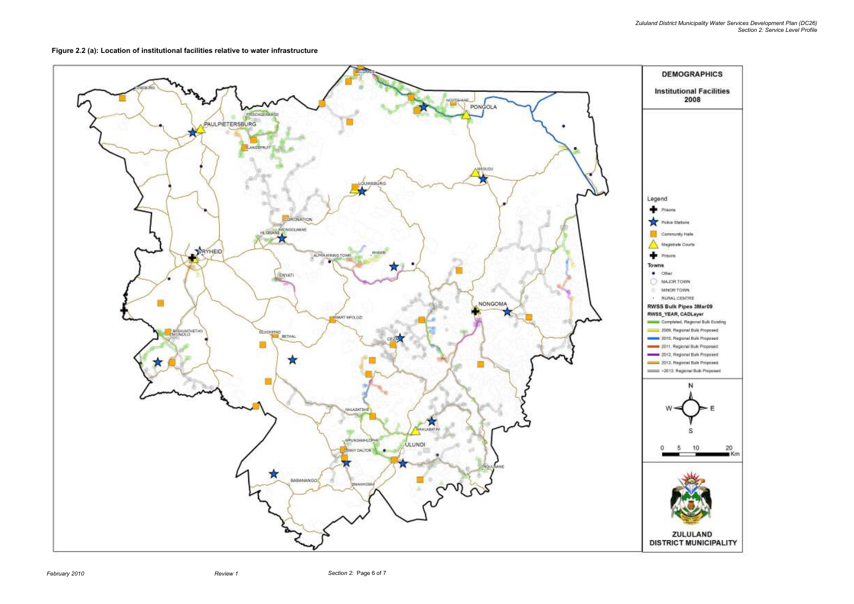Zululand District Municipality Water Services Development Plan (DC26) Section 2: Service Level Profile

Figure 2.2 (a): Location of institutional facilities relative to water infrastructure